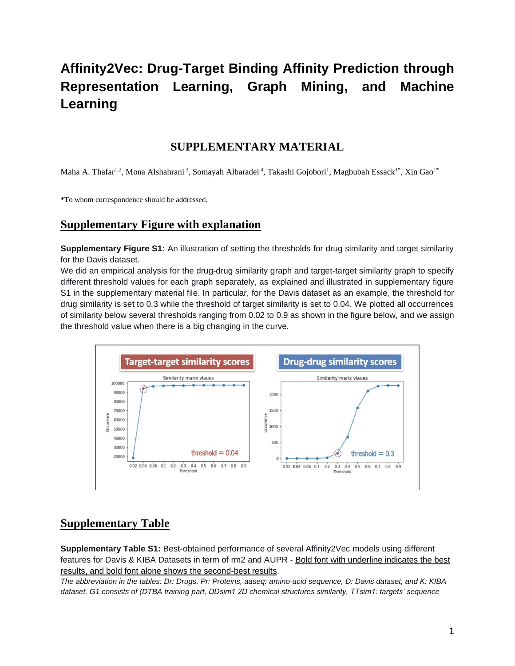## **Affinity2Vec: Drug-Target Binding Affinity Prediction through Representation Learning, Graph Mining, and Machine Learning**

## **SUPPLEMENTARY MATERIAL**

Maha A. Thafar<sup>1,2</sup>, Mona Alshahrani<sup>,3</sup>, Somayah Albaradei<sup>,4</sup>, Takashi Gojobori<sup>1</sup>, Magbubah Essack<sup>1\*</sup>, Xin Gao<sup>1\*</sup>

\*To whom correspondence should be addressed.

## **Supplementary Figure with explanation**

**Supplementary Figure S1:** An illustration of setting the thresholds for drug similarity and target similarity for the Davis dataset.

We did an empirical analysis for the drug-drug similarity graph and target-target similarity graph to specify different threshold values for each graph separately, as explained and illustrated in supplementary figure S1 in the supplementary material file. In particular, for the Davis dataset as an example, the threshold for drug similarity is set to 0.3 while the threshold of target similarity is set to 0.04. We plotted all occurrences of similarity below several thresholds ranging from 0.02 to 0.9 as shown in the figure below, and we assign the threshold value when there is a big changing in the curve.



## **Supplementary Table**

**Supplementary Table S1:** Best-obtained performance of several Affinity2Vec models using different features for Davis & KIBA Datasets in term of rm2 and AUPR - Bold font with underline indicates the best results, and bold font alone shows the second-best results.

*The abbreviation in the tables: Dr: Drugs, Pr: Proteins, aaseq: amino-acid sequence, D: Davis dataset, and K: KIBA dataset. G1 consists of (DTBA training part, DDsim1 2D chemical structures similarity, TTsim1: targets' sequence*